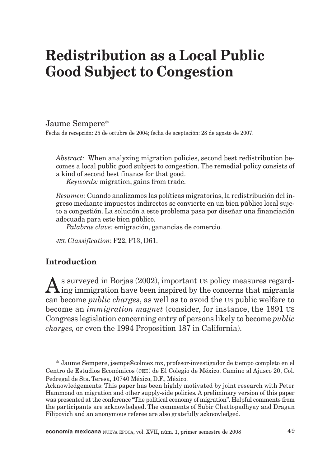# **Redistribution as a Local Public Good Subject to Congestion**

Jaume Sempere\*

Fecha de recepción: 25 de octubre de 2004; fecha de aceptación: 28 de agosto de 2007.

*Abstract:* When analyzing migration policies, second best redistribution becomes a local public good subject to congestion. The remedial policy consists of a kind of second best finance for that good.

*Keywords:* migration, gains from trade.

*Resumen:* Cuando analizamos las políticas migratorias, la redistribución del ingreso mediante impuestos indirectos se convierte en un bien público local sujeto a congestión. La solución a este problema pasa por diseñar una financiación adecuada para este bien público.

*Palabras clave:* emigración, ganancias de comercio.

*JEL Classification*: F22, F13, D61.

# **Introduction**

 $A$ s surveyed in Borjas (2002), important US policy measures regard-<br> $A$ ing immigration have been inspired by the concerns that migrants can become *public charges*, as well as to avoid the US public welfare to become an *immigration magnet* (consider, for instance, the 1891 US Congress legislation concerning entry of persons likely to become *public charges,* or even the 1994 Proposition 187 in California).

**economía mexicana** NUEVA ÉPOCA, vol. XVII, núm. 1, primer semestre de 2008  $49$ 

<sup>\*</sup> Jaume Sempere, jsempe@colmex.mx, profesor-investigador de tiempo completo en el Centro de Estudios Económicos (CEE) de El Colegio de México. Camino al Ajusco 20, Col. Pedregal de Sta. Teresa, 10740 México, D.F., México.

Acknowledgements: This paper has been highly motivated by joint research with Peter Hammond on migration and other supply-side policies. A preliminary version of this paper was presented at the conference "The political economy of migration". Helpful comments from the participants are acknowledged. The comments of Subir Chattopadhyay and Dragan Filipovich and an anonymous referee are also gratefully acknowledged.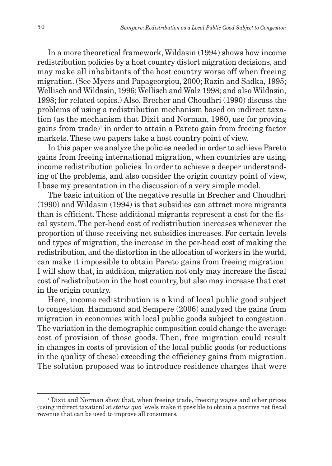In a more theoretical framework, Wildasin (1994) shows how income redistribution policies by a host country distort migration decisions, and may make all inhabitants of the host country worse off when freeing migration. (See Myers and Papageorgiou, 2000; Razin and Sadka, 1995; Wellisch and Wildasin, 1996; Wellisch and Walz 1998; and also Wildasin, 1998; for related topics.) Also, Brecher and Choudhri (1990) discuss the problems of using a redistribution mechanism based on indirect taxation (as the mechanism that Dixit and Norman, 1980, use for proving gains from trade)<sup>1</sup> in order to attain a Pareto gain from freeing factor markets. These two papers take a host country point of view.

In this paper we analyze the policies needed in order to achieve Pareto gains from freeing international migration, when countries are using income redistribution policies. In order to achieve a deeper understanding of the problems, and also consider the origin country point of view, I base my presentation in the discussion of a very simple model.

The basic intuition of the negative results in Brecher and Choudhri (1990) and Wildasin (1994) is that subsidies can attract more migrants than is efficient. These additional migrants represent a cost for the fiscal system. The per-head cost of redistribution increases whenever the proportion of those receiving net subsidies increases. For certain levels and types of migration, the increase in the per-head cost of making the redistribution, and the distortion in the allocation of workers in the world, can make it impossible to obtain Pareto gains from freeing migration. I will show that, in addition, migration not only may increase the fiscal cost of redistribution in the host country, but also may increase that cost in the origin country.

Here, income redistribution is a kind of local public good subject to congestion. Hammond and Sempere (2006) analyzed the gains from migration in economies with local public goods subject to congestion. The variation in the demographic composition could change the average cost of provision of those goods. Then, free migration could result in changes in costs of provision of the local public goods (or reductions in the quality of these) exceeding the efficiency gains from migration. The solution proposed was to introduce residence charges that were

<sup>1</sup> Dixit and Norman show that, when freeing trade, freezing wages and other prices (using indirect taxation) at *status quo* levels make it possible to obtain a positive net fiscal revenue that can be used to improve all consumers.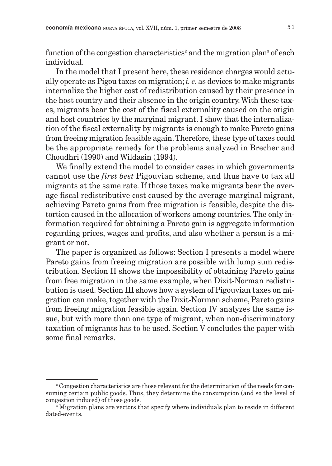function of the congestion characteristics<sup>2</sup> and the migration plan<sup>3</sup> of each individual.

In the model that I present here, these residence charges would actually operate as Pigou taxes on migration; *i. e.* as devices to make migrants internalize the higher cost of redistribution caused by their presence in the host country and their absence in the origin country. With these taxes, migrants bear the cost of the fiscal externality caused on the origin and host countries by the marginal migrant. I show that the internalization of the fiscal externality by migrants is enough to make Pareto gains from freeing migration feasible again.Therefore, these type of taxes could be the appropriate remedy for the problems analyzed in Brecher and Choudhri (1990) and Wildasin (1994).

We finally extend the model to consider cases in which governments cannot use the *first best* Pigouvian scheme, and thus have to tax all migrants at the same rate. If those taxes make migrants bear the average fiscal redistributive cost caused by the average marginal migrant, achieving Pareto gains from free migration is feasible, despite the distortion caused in the allocation of workers among countries. The only information required for obtaining a Pareto gain is aggregate information regarding prices, wages and profits, and also whether a person is a migrant or not.

The paper is organized as follows: Section I presents a model where Pareto gains from freeing migration are possible with lump sum redistribution. Section II shows the impossibility of obtaining Pareto gains from free migration in the same example, when Dixit-Norman redistribution is used. Section III shows how a system of Pigouvian taxes on migration can make, together with the Dixit-Norman scheme, Pareto gains from freeing migration feasible again. Section IV analyzes the same issue, but with more than one type of migrant, when non-discriminatory taxation of migrants has to be used. Section V concludes the paper with some final remarks.

<sup>2</sup> Congestion characteristics are those relevant for the determination of the needs for consuming certain public goods. Thus, they determine the consumption (and so the level of congestion induced) of those goods.

<sup>&</sup>lt;sup>3</sup> Migration plans are vectors that specify where individuals plan to reside in different dated-events.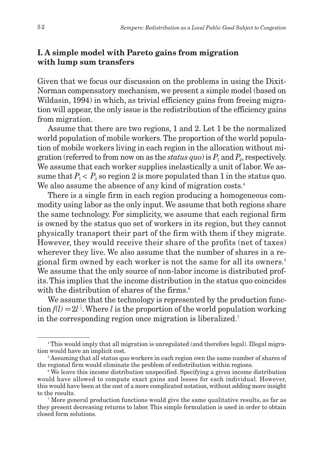### **I. A simple model with Pareto gains from migration with lump sum transfers**

Given that we focus our discussion on the problems in using the Dixit-Norman compensatory mechanism, we present a simple model (based on Wildasin, 1994) in which, as trivial efficiency gains from freeing migration will appear, the only issue is the redistribution of the efficiency gains from migration.

Assume that there are two regions, 1 and 2. Let 1 be the normalized world population of mobile workers. The proportion of the world population of mobile workers living in each region in the allocation without migration (referred to from now on as the *status quo*) is  $P_1$  and  $P_2$ , respectively. We assume that each worker supplies inelastically a unit of labor. We assume that  $P_1 < P_2$  so region 2 is more populated than 1 in the status quo. We also assume the absence of any kind of migration costs. 4

There is a single firm in each region producing a homogeneous commodity using labor as the only input. We assume that both regions share the same technology. For simplicity, we assume that each regional firm is owned by the status quo set of workers in its region, but they cannot physically transport their part of the firm with them if they migrate. However, they would receive their share of the profits (net of taxes) wherever they live. We also assume that the number of shares in a regional firm owned by each worker is not the same for all its owners.5 We assume that the only source of non-labor income is distributed profits. This implies that the income distribution in the status quo coincides with the distribution of shares of the firms.<sup>6</sup>

We assume that the technology is represented by the production function  $f(l) = 2l^{\frac{1}{2}}$ . Where *l* is the proportion of the world population working in the corresponding region once migration is liberalized.7

<sup>4</sup> This would imply that all migration is unregulated (and therefore legal). Illegal migration would have an implicit cost.

<sup>&</sup>lt;sup>5</sup> Assuming that all status quo workers in each region own the same number of shares of the regional firm would eliminate the problem of redistribution within regions.

<sup>&</sup>lt;sup>6</sup> We leave this income distribution unspecified. Specifying a given income distribution would have allowed to compute exact gains and losses for each individual. However, this would have been at the cost of a more complicated notation, without adding more insight to the results.

<sup>7</sup> More general production functions would give the same qualitative results, as far as they present decreasing returns to labor. This simple formulation is used in order to obtain closed form solutions.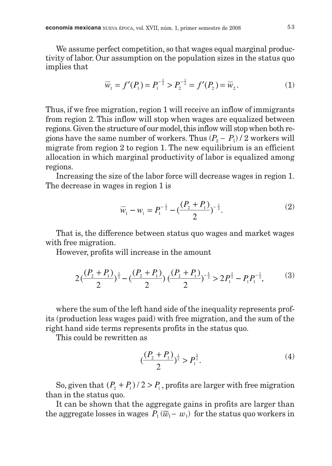We assume perfect competition, so that wages equal marginal productivity of labor. Our assumption on the population sizes in the status quo implies that

$$
\overline{w}_1 = f'(P_1) = P_1^{-\frac{1}{2}} > P_2^{-\frac{1}{2}} = f'(P_2) = \overline{w}_2.
$$
 (1)

Thus, if we free migration, region 1 will receive an inflow of immigrants from region 2. This inflow will stop when wages are equalized between regions. Given the structure of our model, this inflow will stop when both regions have the same number of workers. Thus  $(P_2 - P_1)/2$  workers will migrate from region 2 to region 1. The new equilibrium is an efficient allocation in which marginal productivity of labor is equalized among regions.

Increasing the size of the labor force will decrease wages in region 1. The decrease in wages in region 1 is

$$
\overline{w}_1 - w_1 = P_1^{-\frac{1}{2}} - \left(\frac{(P_2 + P_1)}{2}\right)^{-\frac{1}{2}}.
$$
 (2)

That is, the difference between status quo wages and market wages with free migration.

However, profits will increase in the amount

$$
2\left(\frac{(P_2+P_1)}{2}\right)^{\frac{1}{2}} - \left(\frac{(P_2+P_1)}{2}\right)\left(\frac{(P_2+P_1)}{2}\right)^{-\frac{1}{2}} > 2P_1^{\frac{1}{2}} - P_1 P_1^{-\frac{1}{2}},\tag{3}
$$

where the sum of the left hand side of the inequality represents profits (production less wages paid) with free migration, and the sum of the right hand side terms represents profits in the status quo.

This could be rewritten as

$$
\left(\frac{(P_2 + P_1)}{2}\right)^{\frac{1}{2}} > P_1^{\frac{1}{2}}.
$$
 (4)

So, given that  $(P_2 + P_1)/2 > P_1$ , profits are larger with free migration than in the status quo.

It can be shown that the aggregate gains in profits are larger than the aggregate losses in wages  $P_1(\overline{w}_1 - w_1)$  for the status quo workers in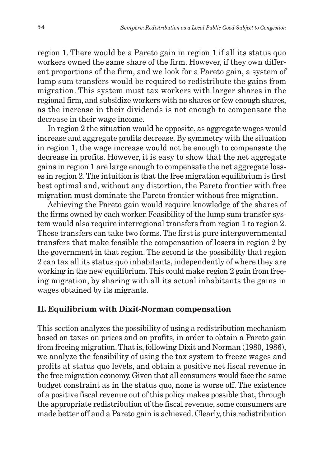region 1. There would be a Pareto gain in region 1 if all its status quo workers owned the same share of the firm. However, if they own different proportions of the firm, and we look for a Pareto gain, a system of lump sum transfers would be required to redistribute the gains from migration. This system must tax workers with larger shares in the regional firm, and subsidize workers with no shares or few enough shares, as the increase in their dividends is not enough to compensate the decrease in their wage income.

In region 2 the situation would be opposite, as aggregate wages would increase and aggregate profits decrease. By symmetry with the situation in region 1, the wage increase would not be enough to compensate the decrease in profits. However, it is easy to show that the net aggregate gains in region 1 are large enough to compensate the net aggregate losses in region 2. The intuition is that the free migration equilibrium is first best optimal and, without any distortion, the Pareto frontier with free migration must dominate the Pareto frontier without free migration.

Achieving the Pareto gain would require knowledge of the shares of the firms owned by each worker. Feasibility of the lump sum transfer system would also require interregional transfers from region 1 to region 2. These transfers can take two forms. The first is pure intergovernmental transfers that make feasible the compensation of losers in region 2 by the government in that region. The second is the possibility that region 2 can tax all its status quo inhabitants, independently of where they are working in the new equilibrium.This could make region 2 gain from freeing migration, by sharing with all its actual inhabitants the gains in wages obtained by its migrants.

# **II. Equilibrium with Dixit-Norman compensation**

This section analyzes the possibility of using a redistribution mechanism based on taxes on prices and on profits, in order to obtain a Pareto gain from freeing migration.That is, following Dixit and Norman (1980, 1986), we analyze the feasibility of using the tax system to freeze wages and profits at status quo levels, and obtain a positive net fiscal revenue in the free migration economy. Given that all consumers would face the same budget constraint as in the status quo, none is worse off. The existence of a positive fiscal revenue out of this policy makes possible that, through the appropriate redistribution of the fiscal revenue, some consumers are made better off and a Pareto gain is achieved. Clearly, this redistribution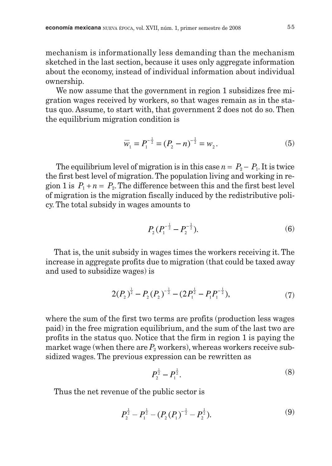mechanism is informationally less demanding than the mechanism sketched in the last section, because it uses only aggregate information about the economy, instead of individual information about individual ownership.

We now assume that the government in region 1 subsidizes free migration wages received by workers, so that wages remain as in the status quo. Assume, to start with, that government 2 does not do so. Then the equilibrium migration condition is

$$
\overline{w}_1 = P_1^{-\frac{1}{2}} = (P_2 - n)^{-\frac{1}{2}} = w_2.
$$
\n(5)

The equilibrium level of migration is in this case  $n = P_2 - P_1$ . It is twice the first best level of migration. The population living and working in region 1 is  $P_1 + n = P_2$ . The difference between this and the first best level of migration is the migration fiscally induced by the redistributive policy. The total subsidy in wages amounts to

$$
P_2(P_1^{-\frac{1}{2}} - P_2^{-\frac{1}{2}}). \tag{6}
$$

That is, the unit subsidy in wages times the workers receiving it. The increase in aggregate profits due to migration (that could be taxed away and used to subsidize wages) is

$$
2(P_2)^{\frac{1}{2}} - P_2(P_2)^{-\frac{1}{2}} - (2P_1^{\frac{1}{2}} - P_1P_1^{-\frac{1}{2}}), \tag{7}
$$

where the sum of the first two terms are profits (production less wages paid) in the free migration equilibrium, and the sum of the last two are profits in the status quo. Notice that the firm in region 1 is paying the market wage (when there are  $P_2$  workers), whereas workers receive subsidized wages. The previous expression can be rewritten as

$$
P_2^{\frac{1}{2}} - P_1^{\frac{1}{2}}.\tag{8}
$$

Thus the net revenue of the public sector is

$$
P_2^{\frac{1}{2}} - P_1^{\frac{1}{2}} - (P_2(P_1)^{-\frac{1}{2}} - P_2^{\frac{1}{2}}).
$$
 (9)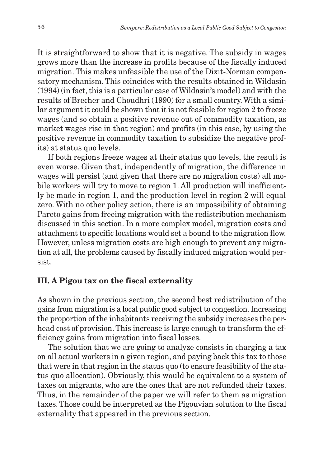It is straightforward to show that it is negative. The subsidy in wages grows more than the increase in profits because of the fiscally induced migration. This makes unfeasible the use of the Dixit-Norman compensatory mechanism. This coincides with the results obtained in Wildasin (1994) (in fact, this is a particular case of Wildasin's model) and with the results of Brecher and Choudhri (1990) for a small country. With a similar argument it could be shown that it is not feasible for region 2 to freeze wages (and so obtain a positive revenue out of commodity taxation, as market wages rise in that region) and profits (in this case, by using the positive revenue in commodity taxation to subsidize the negative profits) at status quo levels.

If both regions freeze wages at their status quo levels, the result is even worse. Given that, independently of migration, the difference in wages will persist (and given that there are no migration costs) all mobile workers will try to move to region 1. All production will inefficiently be made in region 1, and the production level in region 2 will equal zero. With no other policy action, there is an impossibility of obtaining Pareto gains from freeing migration with the redistribution mechanism discussed in this section. In a more complex model, migration costs and attachment to specific locations would set a bound to the migration flow. However, unless migration costs are high enough to prevent any migration at all, the problems caused by fiscally induced migration would persist.

### **III. A Pigou tax on the fiscal externality**

As shown in the previous section, the second best redistribution of the gains from migration is a local public good subject to congestion. Increasing the proportion of the inhabitants receiving the subsidy increases the perhead cost of provision.This increase is large enough to transform the efficiency gains from migration into fiscal losses.

The solution that we are going to analyze consists in charging a tax on all actual workers in a given region, and paying back this tax to those that were in that region in the status quo (to ensure feasibility of the status quo allocation). Obviously, this would be equivalent to a system of taxes on migrants, who are the ones that are not refunded their taxes. Thus, in the remainder of the paper we will refer to them as migration taxes. Those could be interpreted as the Pigouvian solution to the fiscal externality that appeared in the previous section.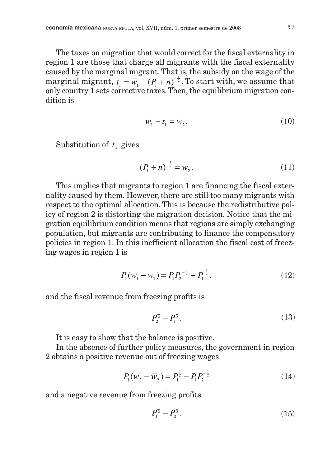The taxes on migration that would correct for the fiscal externality in region 1 are those that charge all migrants with the fiscal externality caused by the marginal migrant. That is, the subsidy on the wage of the marginal migrant,  $t_1 = \overline{w_1} - (P_1 + n)^{-\frac{1}{2}}$ . To start with, we assume that only country 1 sets corrective taxes.Then, the equilibrium migration condition is

$$
\overline{w}_1 - t_1 = \overline{w}_2. \tag{10}
$$

Substitution of  $t_1$  gives

$$
(P_1 + n)^{-\frac{1}{2}} = \overline{w}_2.
$$
 (11)

This implies that migrants to region 1 are financing the fiscal externality caused by them. However, there are still too many migrants with respect to the optimal allocation. This is because the redistributive policy of region 2 is distorting the migration decision. Notice that the migration equilibrium condition means that regions are simply exchanging population, but migrants are contributing to finance the compensatory policies in region 1. In this inefficient allocation the fiscal cost of freezing wages in region 1 is

$$
P_1(\overline{w}_1 - w_1) = P_1 P_2^{-\frac{1}{2}} - P_1^{\frac{1}{2}}.
$$
 (12)

and the fiscal revenue from freezing profits is

$$
P_2^{\frac{1}{2}} - P_1^{\frac{1}{2}}.\tag{13}
$$

It is easy to show that the balance is positive.

In the absence of further policy measures, the government in region 2 obtains a positive revenue out of freezing wages

$$
P_1(w_2 - \overline{w}_2) = P_1^{\frac{1}{2}} - P_1 P_2^{-\frac{1}{2}}
$$
 (14)

and a negative revenue from freezing profits

$$
P_1^{\frac{1}{2}} - P_2^{\frac{1}{2}}.\tag{15}
$$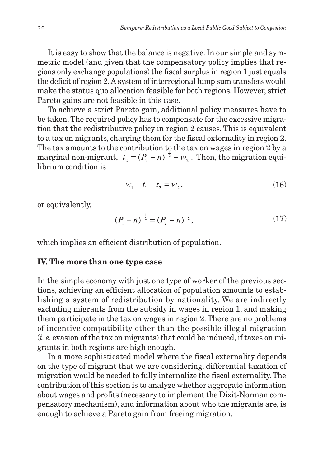It is easy to show that the balance is negative. In our simple and symmetric model (and given that the compensatory policy implies that regions only exchange populations) the fiscal surplus in region 1 just equals the deficit of region 2.A system of interregional lump sum transfers would make the status quo allocation feasible for both regions. However, strict Pareto gains are not feasible in this case.

To achieve a strict Pareto gain, additional policy measures have to be taken. The required policy has to compensate for the excessive migration that the redistributive policy in region 2 causes. This is equivalent to a tax on migrants, charging them for the fiscal externality in region 2. The tax amounts to the contribution to the tax on wages in region 2 by a marginal non-migrant,  $t_1 = (P_1 - n)^{-\frac{1}{2}} - \overline{w}_2$ . Then, the migration equilibrium condition is

$$
\overline{w}_1 - t_1 - t_2 = \overline{w}_2,\tag{16}
$$

or equivalently,

$$
(P_1 + n)^{-\frac{1}{2}} = (P_2 - n)^{-\frac{1}{2}},\tag{17}
$$

which implies an efficient distribution of population.

#### **IV. The more than one type case**

In the simple economy with just one type of worker of the previous sections, achieving an efficient allocation of population amounts to establishing a system of redistribution by nationality. We are indirectly excluding migrants from the subsidy in wages in region 1, and making them participate in the tax on wages in region 2.There are no problems of incentive compatibility other than the possible illegal migration (*i. e.* evasion of the tax on migrants) that could be induced, if taxes on migrants in both regions are high enough.

In a more sophisticated model where the fiscal externality depends on the type of migrant that we are considering, differential taxation of migration would be needed to fully internalize the fiscal externality. The contribution of this section is to analyze whether aggregate information about wages and profits (necessary to implement the Dixit-Norman compensatory mechanism), and information about who the migrants are, is enough to achieve a Pareto gain from freeing migration.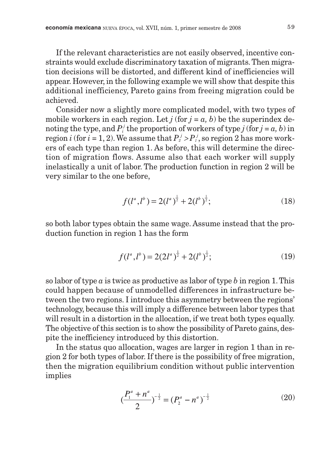If the relevant characteristics are not easily observed, incentive constraints would exclude discriminatory taxation of migrants. Then migration decisions will be distorted, and different kind of inefficiencies will appear. However, in the following example we will show that despite this additional inefficiency, Pareto gains from freeing migration could be achieved.

Consider now a slightly more complicated model, with two types of mobile workers in each region. Let  $j$  (for  $j = a, b$ ) be the superindex denoting the type, and  $P_i^j$  the proportion of workers of type *j* (for  $j = a, b$ ) in region  $i$  (for  $i = 1, 2$ ). We assume that  $P_i^j > P_i^j$ , so region 2 has more workers of each type than region 1. As before, this will determine the direction of migration flows. Assume also that each worker will supply inelastically a unit of labor. The production function in region 2 will be very similar to the one before,

$$
f(l^a, l^b) = 2(l^a)^{\frac{1}{2}} + 2(l^b)^{\frac{1}{2}};
$$
 (18)

so both labor types obtain the same wage. Assume instead that the production function in region 1 has the form

$$
f(l^a, l^b) = 2(2l^a)^{\frac{1}{2}} + 2(l^b)^{\frac{1}{2}};
$$
 (19)

so labor of type *a* is twice as productive as labor of type *b* in region 1. This could happen because of unmodelled differences in infrastructure between the two regions. I introduce this asymmetry between the regions' technology, because this will imply a difference between labor types that will result in a distortion in the allocation, if we treat both types equally. The objective of this section is to show the possibility of Pareto gains, despite the inefficiency introduced by this distortion.

In the status quo allocation, wages are larger in region 1 than in region 2 for both types of labor. If there is the possibility of free migration, then the migration equilibrium condition without public intervention implies

$$
\left(\frac{P_1^a + n^a}{2}\right)^{-\frac{1}{2}} = \left(P_2^a - n^a\right)^{-\frac{1}{2}}\tag{20}
$$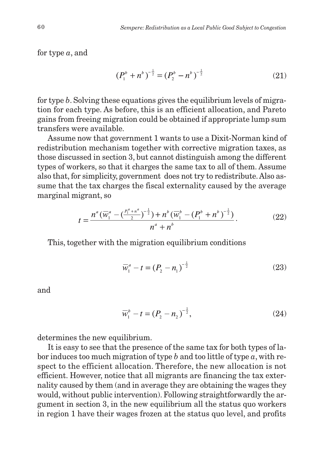for type *a*, and

$$
\left(P_1^b + n^b\right)^{-\frac{1}{2}} = \left(P_2^b - n^b\right)^{-\frac{1}{2}}\tag{21}
$$

for type *b*. Solving these equations gives the equilibrium levels of migration for each type. As before, this is an efficient allocation, and Pareto gains from freeing migration could be obtained if appropriate lump sum transfers were available.

Assume now that government 1 wants to use a Dixit-Norman kind of redistribution mechanism together with corrective migration taxes, as those discussed in section 3, but cannot distinguish among the different types of workers, so that it charges the same tax to all of them. Assume also that, for simplicity, government does not try to redistribute. Also assume that the tax charges the fiscal externality caused by the average marginal migrant, so

$$
t = \frac{n^a(\overline{w}_1^a - (\frac{P_1^a + n^a}{2})^{-\frac{1}{2}}) + n^b(\overline{w}_1^b - (P_1^b + n^b)^{-\frac{1}{2}})}{n^a + n^b}.
$$
 (22)

This, together with the migration equilibrium conditions

$$
\overline{w}_1^a - t = (P_2 - n_1)^{-\frac{1}{2}} \tag{23}
$$

and

$$
\overline{w}_1^b - t = (P_2 - n_2)^{-\frac{1}{2}},\tag{24}
$$

determines the new equilibrium.

It is easy to see that the presence of the same tax for both types of labor induces too much migration of type *b* and too little of type *a*, with respect to the efficient allocation. Therefore, the new allocation is not efficient. However, notice that all migrants are financing the tax externality caused by them (and in average they are obtaining the wages they would, without public intervention). Following straightforwardly the argument in section 3, in the new equilibrium all the status quo workers in region 1 have their wages frozen at the status quo level, and profits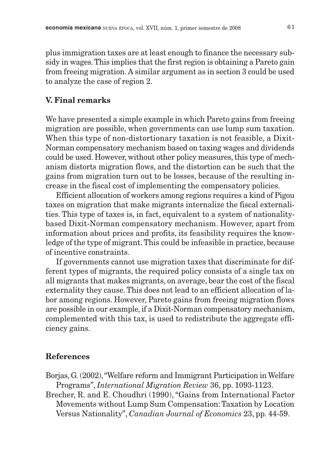plus immigration taxes are at least enough to finance the necessary subsidy in wages.This implies that the first region is obtaining a Pareto gain from freeing migration. A similar argument as in section 3 could be used to analyze the case of region 2.

#### **V. Final remarks**

We have presented a simple example in which Pareto gains from freeing migration are possible, when governments can use lump sum taxation. When this type of non-distortionary taxation is not feasible, a Dixit-Norman compensatory mechanism based on taxing wages and dividends could be used. However, without other policy measures, this type of mechanism distorts migration flows, and the distortion can be such that the gains from migration turn out to be losses, because of the resulting increase in the fiscal cost of implementing the compensatory policies.

Efficient allocation of workers among regions requires a kind of Pigou taxes on migration that make migrants internalize the fiscal externalities. This type of taxes is, in fact, equivalent to a system of nationalitybased Dixit-Norman compensatory mechanism. However, apart from information about prices and profits, its feasibility requires the knowledge of the type of migrant.This could be infeasible in practice, because of incentive constraints.

If governments cannot use migration taxes that discriminate for different types of migrants, the required policy consists of a single tax on all migrants that makes migrants, on average, bear the cost of the fiscal externality they cause. This does not lead to an efficient allocation of labor among regions. However, Pareto gains from freeing migration flows are possible in our example, if a Dixit-Norman compensatory mechanism, complemented with this tax, is used to redistribute the aggregate efficiency gains.

#### **References**

- Borjas, G. (2002),"Welfare reform and Immigrant Participation in Welfare Programs", *International Migration Review* 36, pp. 1093-1123.
- Brecher, R. and E. Choudhri (1990), "Gains from International Factor Movements without Lump Sum Compensation: Taxation by Location Versus Nationality", *Canadian Journal of Economics* 23, pp. 44-59.